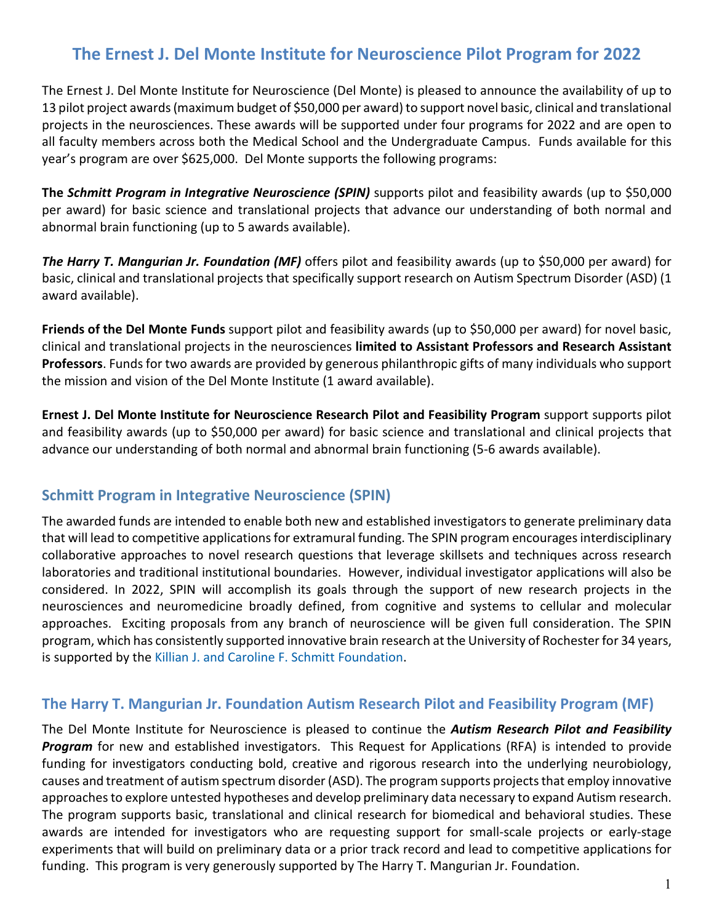# **The Ernest J. Del Monte Institute for Neuroscience Pilot Program for 2022**

The Ernest J. Del Monte Institute for Neuroscience (Del Monte) is pleased to announce the availability of up to 13 pilot project awards (maximum budget of \$50,000 per award) to support novel basic, clinical and translational projects in the neurosciences. These awards will be supported under four programs for 2022 and are open to all faculty members across both the Medical School and the Undergraduate Campus. Funds available for this year's program are over \$625,000. Del Monte supports the following programs:

**The** *Schmitt Program in Integrative Neuroscience (SPIN)* supports pilot and feasibility awards (up to \$50,000 per award) for basic science and translational projects that advance our understanding of both normal and abnormal brain functioning (up to 5 awards available).

*The Harry T. Mangurian Jr. Foundation (MF)* offers pilot and feasibility awards (up to \$50,000 per award) for basic, clinical and translational projects that specifically support research on Autism Spectrum Disorder (ASD) (1 award available).

**Friends of the Del Monte Funds** support pilot and feasibility awards (up to \$50,000 per award) for novel basic, clinical and translational projects in the neurosciences **limited to Assistant Professors and Research Assistant Professors**. Funds for two awards are provided by generous philanthropic gifts of many individuals who support the mission and vision of the Del Monte Institute (1 award available).

**Ernest J. Del Monte Institute for Neuroscience Research Pilot and Feasibility Program** support supports pilot and feasibility awards (up to \$50,000 per award) for basic science and translational and clinical projects that advance our understanding of both normal and abnormal brain functioning (5-6 awards available).

## **Schmitt Program in Integrative Neuroscience (SPIN)**

The awarded funds are intended to enable both new and established investigators to generate preliminary data that will lead to competitive applications for extramural funding. The SPIN program encourages interdisciplinary collaborative approaches to novel research questions that leverage skillsets and techniques across research laboratories and traditional institutional boundaries. However, individual investigator applications will also be considered. In 2022, SPIN will accomplish its goals through the support of new research projects in the neurosciences and neuromedicine broadly defined, from cognitive and systems to cellular and molecular approaches. Exciting proposals from any branch of neuroscience will be given full consideration. The SPIN program, which has consistently supported innovative brain research at the University of Rochester for 34 years, is supported by th[e Killian J. and Caroline F. Schmitt Foundation.](http://www.kilianschmittfoundation.org/)

## **The Harry T. Mangurian Jr. Foundation Autism Research Pilot and Feasibility Program (MF)**

The Del Monte Institute for Neuroscience is pleased to continue the *Autism Research Pilot and Feasibility Program* for new and established investigators. This Request for Applications (RFA) is intended to provide funding for investigators conducting bold, creative and rigorous research into the underlying neurobiology, causes and treatment of autism spectrum disorder (ASD). The program supports projects that employ innovative approaches to explore untested hypotheses and develop preliminary data necessary to expand Autism research. The program supports basic, translational and clinical research for biomedical and behavioral studies. These awards are intended for investigators who are requesting support for small-scale projects or early-stage experiments that will build on preliminary data or a prior track record and lead to competitive applications for funding. This program is very generously supported by The Harry T. Mangurian Jr. Foundation.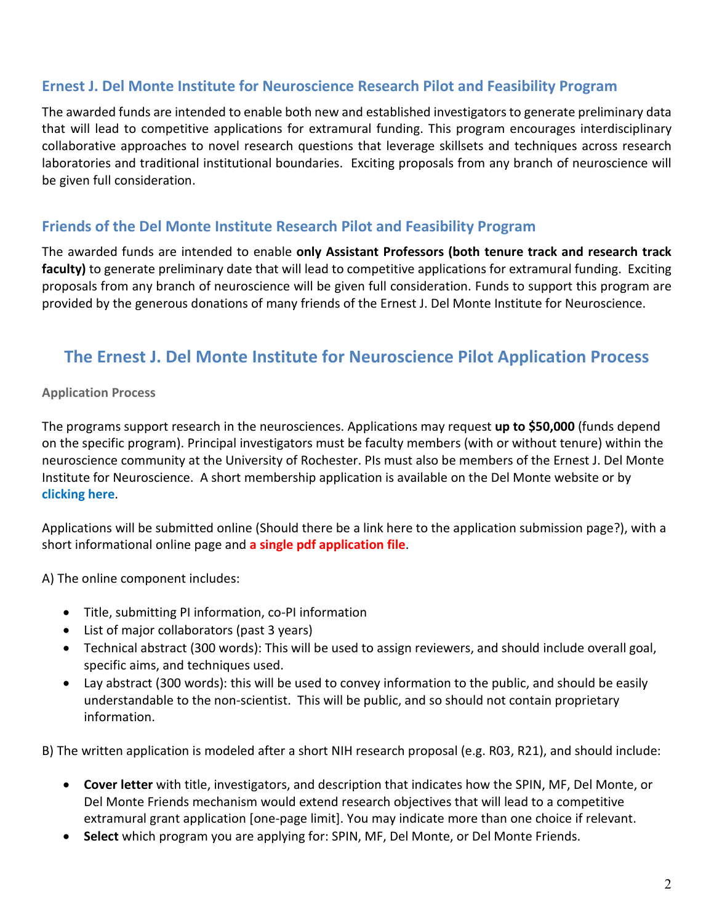# **Ernest J. Del Monte Institute for Neuroscience Research Pilot and Feasibility Program**

The awarded funds are intended to enable both new and established investigators to generate preliminary data that will lead to competitive applications for extramural funding. This program encourages interdisciplinary collaborative approaches to novel research questions that leverage skillsets and techniques across research laboratories and traditional institutional boundaries. Exciting proposals from any branch of neuroscience will be given full consideration.

## **Friends of the Del Monte Institute Research Pilot and Feasibility Program**

The awarded funds are intended to enable **only Assistant Professors (both tenure track and research track faculty)** to generate preliminary date that will lead to competitive applications for extramural funding. Exciting proposals from any branch of neuroscience will be given full consideration. Funds to support this program are provided by the generous donations of many friends of the Ernest J. Del Monte Institute for Neuroscience.

# **The Ernest J. Del Monte Institute for Neuroscience Pilot Application Process**

#### **Application Process**

The programs support research in the neurosciences. Applications may request **up to \$50,000** (funds depend on the specific program). Principal investigators must be faculty members (with or without tenure) within the neuroscience community at the University of Rochester. PIs must also be members of the Ernest J. Del Monte Institute for Neuroscience. A short membership application is available on the Del Monte website or b[y](https://www.urmc.rochester.edu/del-monte-neuroscience/about/membership.aspx) **[clicking here](https://www.urmc.rochester.edu/del-monte-neuroscience/about/membership.aspx)**.

Applications will be submitted online (Should there be a link here to the application submission page?), with a short informational online page and **a single pdf application file**.

A) The online component includes:

- Title, submitting PI information, co-PI information
- List of major collaborators (past 3 years)
- Technical abstract (300 words): This will be used to assign reviewers, and should include overall goal, specific aims, and techniques used.
- Lay abstract (300 words): this will be used to convey information to the public, and should be easily understandable to the non-scientist. This will be public, and so should not contain proprietary information.

B) The written application is modeled after a short NIH research proposal (e.g. R03, R21), and should include:

- **Cover letter** with title, investigators, and description that indicates how the SPIN, MF, Del Monte, or Del Monte Friends mechanism would extend research objectives that will lead to a competitive extramural grant application [one-page limit]. You may indicate more than one choice if relevant.
- **Select** which program you are applying for: SPIN, MF, Del Monte, or Del Monte Friends.